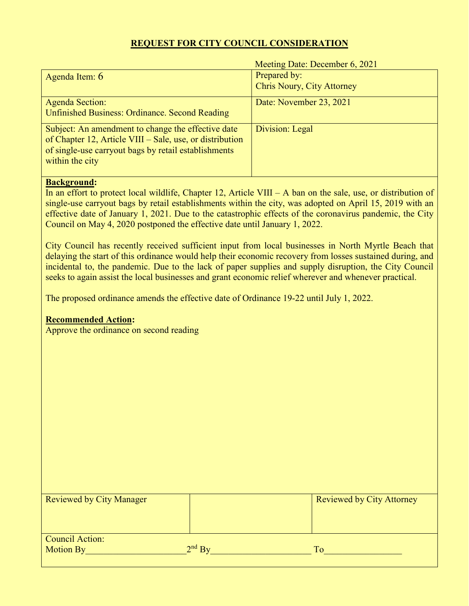# **REQUEST FOR CITY COUNCIL CONSIDERATION**

Meeting Date: December 6, 2021

| Agenda Item: $6$                                         | Prepared by:                      |
|----------------------------------------------------------|-----------------------------------|
|                                                          | <b>Chris Noury, City Attorney</b> |
| <b>Agenda Section:</b>                                   | Date: November 23, 2021           |
| <b>Unfinished Business: Ordinance. Second Reading</b>    |                                   |
| Subject: An amendment to change the effective date       | Division: Legal                   |
| of Chapter 12, Article VIII – Sale, use, or distribution |                                   |
| of single-use carryout bags by retail establishments     |                                   |
| within the city                                          |                                   |
|                                                          |                                   |

### **Background:**

In an effort to protect local wildlife, Chapter 12, Article VIII – A ban on the sale, use, or distribution of single-use carryout bags by retail establishments within the city, was adopted on April 15, 2019 with an effective date of January 1, 2021. Due to the catastrophic effects of the coronavirus pandemic, the City Council on May 4, 2020 postponed the effective date until January 1, 2022.

City Council has recently received sufficient input from local businesses in North Myrtle Beach that delaying the start of this ordinance would help their economic recovery from losses sustained during, and incidental to, the pandemic. Due to the lack of paper supplies and supply disruption, the City Council seeks to again assist the local businesses and grant economic relief wherever and whenever practical.

The proposed ordinance amends the effective date of Ordinance 19-22 until July 1, 2022.

## **Recommended Action:**

Approve the ordinance on second reading

| <b>Reviewed by City Manager</b> |          | <b>Reviewed by City Attorney</b> |
|---------------------------------|----------|----------------------------------|
|                                 |          |                                  |
|                                 |          |                                  |
|                                 |          |                                  |
|                                 |          |                                  |
|                                 |          |                                  |
| Council Action:                 |          |                                  |
| <b>Motion By</b>                | $2nd$ By | Tο                               |
|                                 |          |                                  |
|                                 |          |                                  |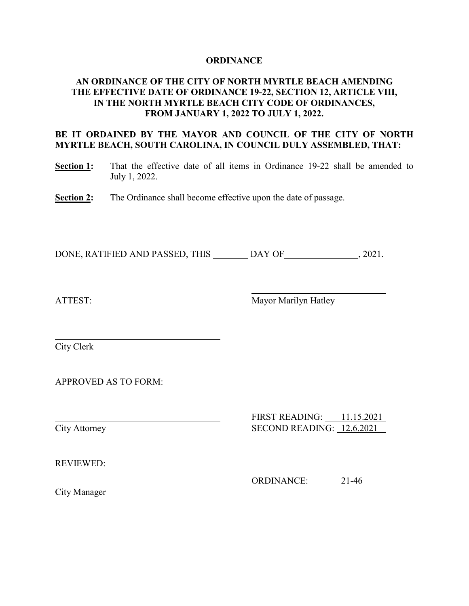### **ORDINANCE**

## **AN ORDINANCE OF THE CITY OF NORTH MYRTLE BEACH AMENDING THE EFFECTIVE DATE OF ORDINANCE 19-22, SECTION 12, ARTICLE VIII, IN THE NORTH MYRTLE BEACH CITY CODE OF ORDINANCES, FROM JANUARY 1, 2022 TO JULY 1, 2022.**

## **BE IT ORDAINED BY THE MAYOR AND COUNCIL OF THE CITY OF NORTH MYRTLE BEACH, SOUTH CAROLINA, IN COUNCIL DULY ASSEMBLED, THAT:**

- **Section 1:** That the effective date of all items in Ordinance 19-22 shall be amended to July 1, 2022.
- **Section 2:** The Ordinance shall become effective upon the date of passage.

DONE, RATIFIED AND PASSED, THIS \_\_\_\_\_\_\_\_ DAY OF \_\_\_\_\_\_\_\_\_\_\_\_\_\_\_\_\_, 2021.

ATTEST: Mayor Marilyn Hatley

City Clerk

APPROVED AS TO FORM:

FIRST READING: 11.15.2021 City Attorney SECOND READING: 12.6.2021

REVIEWED:

ORDINANCE: 21-46

City Manager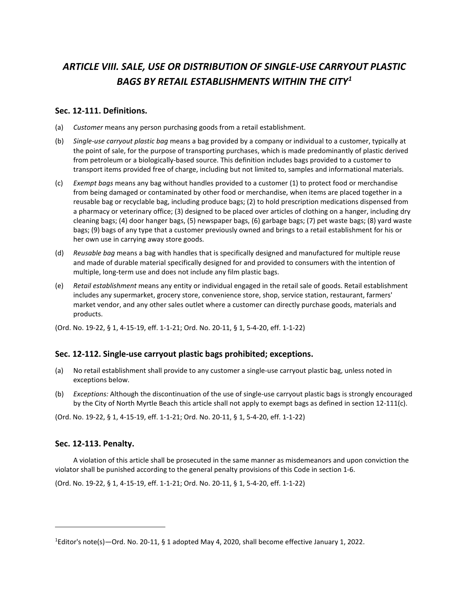# *ARTICLE VIII. SALE, USE OR DISTRIBUTION OF SINGLE-USE CARRYOUT PLASTIC BAGS BY RETAIL ESTABLISHMENTS WITHIN THE CITY[1](#page-2-0)*

#### **Sec. 12-111. Definitions.**

- (a) *Customer* means any person purchasing goods from a retail establishment.
- (b) *Single-use carryout plastic bag* means a bag provided by a company or individual to a customer, typically at the point of sale, for the purpose of transporting purchases, which is made predominantly of plastic derived from petroleum or a biologically-based source. This definition includes bags provided to a customer to transport items provided free of charge, including but not limited to, samples and informational materials.
- (c) *Exempt bags* means any bag without handles provided to a customer (1) to protect food or merchandise from being damaged or contaminated by other food or merchandise, when items are placed together in a reusable bag or recyclable bag, including produce bags; (2) to hold prescription medications dispensed from a pharmacy or veterinary office; (3) designed to be placed over articles of clothing on a hanger, including dry cleaning bags; (4) door hanger bags, (5) newspaper bags, (6) garbage bags; (7) pet waste bags; (8) yard waste bags; (9) bags of any type that a customer previously owned and brings to a retail establishment for his or her own use in carrying away store goods.
- (d) *Reusable bag* means a bag with handles that is specifically designed and manufactured for multiple reuse and made of durable material specifically designed for and provided to consumers with the intention of multiple, long-term use and does not include any film plastic bags.
- (e) *Retail establishment* means any entity or individual engaged in the retail sale of goods. Retail establishment includes any supermarket, grocery store, convenience store, shop, service station, restaurant, farmers' market vendor, and any other sales outlet where a customer can directly purchase goods, materials and products.
- (Ord. No. 19-22, § 1, 4-15-19, eff. 1-1-21; Ord. No. 20-11, § 1, 5-4-20, eff. 1-1-22)

### **Sec. 12-112. Single-use carryout plastic bags prohibited; exceptions.**

- (a) No retail establishment shall provide to any customer a single-use carryout plastic bag, unless noted in exceptions below.
- (b) *Exceptions:* Although the discontinuation of the use of single-use carryout plastic bags is strongly encouraged by the City of North Myrtle Beach this article shall not apply to exempt bags as defined in section 12-111(c).

(Ord. No. 19-22, § 1, 4-15-19, eff. 1-1-21; Ord. No. 20-11, § 1, 5-4-20, eff. 1-1-22)

### **Sec. 12-113. Penalty.**

 $\overline{a}$ 

A violation of this article shall be prosecuted in the same manner as misdemeanors and upon conviction the violator shall be punished according to the general penalty provisions of this Code in section 1-6.

(Ord. No. 19-22, § 1, 4-15-19, eff. 1-1-21; Ord. No. 20-11, § 1, 5-4-20, eff. 1-1-22)

<span id="page-2-0"></span><sup>1</sup> Editor's note(s)—Ord. No. 20-11, § 1 adopted May 4, 2020, shall become effective January 1, 2022.